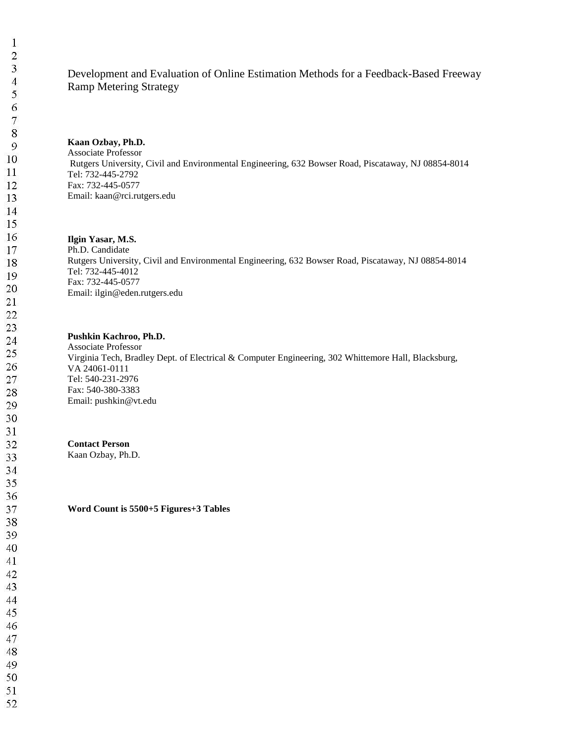# Development and Evaluation of Online Estimation Methods for a Feedback-Based Freeway Ramp Metering Strategy

### **Kaan Ozbay, Ph.D.**

Associate Professor Rutgers University, Civil and Environmental Engineering, 632 Bowser Road, Piscataway, NJ 08854-8014 Tel: 732-445-2792 Fax: 732-445-0577 Email: kaan@rci.rutgers.edu

### **Ilgin Yasar, M.S.**

Ph.D. Candidate Rutgers University, Civil and Environmental Engineering, 632 Bowser Road, Piscataway, NJ 08854-8014 Tel: 732-445-4012 Fax: 732-445-0577 Email: ilgin@eden.rutgers.edu

### **Pushkin Kachroo, Ph.D.**

Associate Professor Virginia Tech, Bradley Dept. of Electrical & Computer Engineering, 302 Whittemore Hall, Blacksburg, VA 24061-0111 Tel: 540-231-2976 Fax: 540-380-3383 Email: pushkin@vt.edu

# **Contact Person**

Kaan Ozbay, Ph.D.

**Word Count is 5500+5 Figures+3 Tables**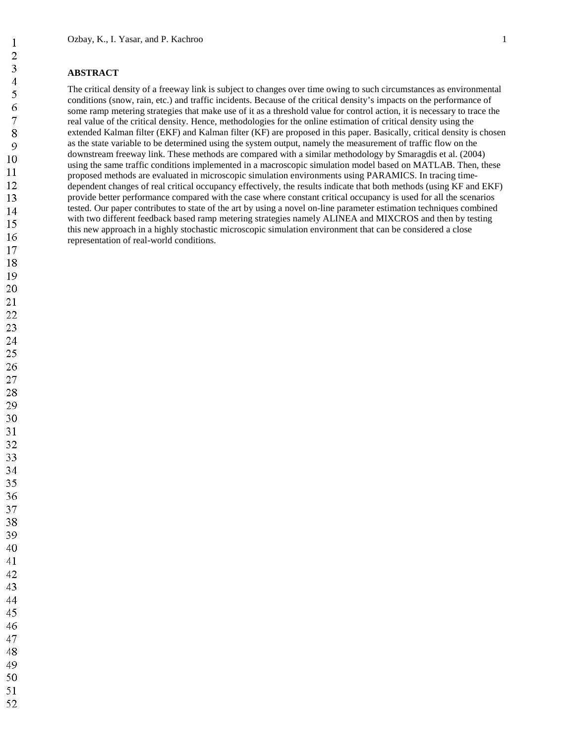# **ABSTRACT**

The critical density of a freeway link is subject to changes over time owing to such circumstances as environmental conditions (snow, rain, etc.) and traffic incidents. Because of the critical density's impacts on the performance of some ramp metering strategies that make use of it as a threshold value for control action, it is necessary to trace the real value of the critical density. Hence, methodologies for the online estimation of critical density using the extended Kalman filter (EKF) and Kalman filter (KF) are proposed in this paper. Basically, critical density is chosen as the state variable to be determined using the system output, namely the measurement of traffic flow on the downstream freeway link. These methods are compared with a similar methodology by Smaragdis et al. (2004) using the same traffic conditions implemented in a macroscopic simulation model based on MATLAB. Then, these proposed methods are evaluated in microscopic simulation environments using PARAMICS. In tracing timedependent changes of real critical occupancy effectively, the results indicate that both methods (using KF and EKF) provide better performance compared with the case where constant critical occupancy is used for all the scenarios tested. Our paper contributes to state of the art by using a novel on-line parameter estimation techniques combined with two different feedback based ramp metering strategies namely ALINEA and MIXCROS and then by testing this new approach in a highly stochastic microscopic simulation environment that can be considered a close representation of real-world conditions.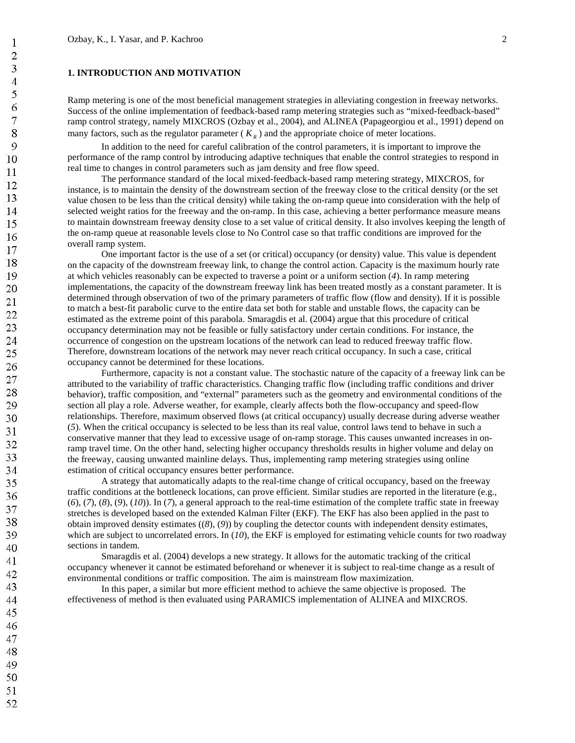# **1. INTRODUCTION AND MOTIVATION**

Ramp metering is one of the most beneficial management strategies in alleviating congestion in freeway networks. Success of the online implementation of feedback-based ramp metering strategies such as "mixed-feedback-based" ramp control strategy, namely MIXCROS (Ozbay et al., 2004), and ALINEA (Papageorgiou et al., 1991) depend on many factors, such as the regulator parameter  $(K_R)$  and the appropriate choice of meter locations.

In addition to the need for careful calibration of the control parameters, it is important to improve the performance of the ramp control by introducing adaptive techniques that enable the control strategies to respond in real time to changes in control parameters such as jam density and free flow speed.

The performance standard of the local mixed-feedback-based ramp metering strategy, MIXCROS, for instance, is to maintain the density of the downstream section of the freeway close to the critical density (or the set value chosen to be less than the critical density) while taking the on-ramp queue into consideration with the help of selected weight ratios for the freeway and the on-ramp. In this case, achieving a better performance measure means to maintain downstream freeway density close to a set value of critical density. It also involves keeping the length of the on-ramp queue at reasonable levels close to No Control case so that traffic conditions are improved for the overall ramp system.

One important factor is the use of a set (or critical) occupancy (or density) value. This value is dependent on the capacity of the downstream freeway link, to change the control action. Capacity is the maximum hourly rate at which vehicles reasonably can be expected to traverse a point or a uniform section (*4*). In ramp metering implementations, the capacity of the downstream freeway link has been treated mostly as a constant parameter. It is determined through observation of two of the primary parameters of traffic flow (flow and density). If it is possible to match a best-fit parabolic curve to the entire data set both for stable and unstable flows, the capacity can be estimated as the extreme point of this parabola. Smaragdis et al. (2004) argue that this procedure of critical occupancy determination may not be feasible or fully satisfactory under certain conditions. For instance, the occurrence of congestion on the upstream locations of the network can lead to reduced freeway traffic flow. Therefore, downstream locations of the network may never reach critical occupancy. In such a case, critical occupancy cannot be determined for these locations.

Furthermore, capacity is not a constant value. The stochastic nature of the capacity of a freeway link can be attributed to the variability of traffic characteristics. Changing traffic flow (including traffic conditions and driver behavior), traffic composition, and "external" parameters such as the geometry and environmental conditions of the section all play a role. Adverse weather, for example, clearly affects both the flow-occupancy and speed-flow relationships. Therefore, maximum observed flows (at critical occupancy) usually decrease during adverse weather (*5*). When the critical occupancy is selected to be less than its real value, control laws tend to behave in such a conservative manner that they lead to excessive usage of on-ramp storage. This causes unwanted increases in onramp travel time. On the other hand, selecting higher occupancy thresholds results in higher volume and delay on the freeway, causing unwanted mainline delays. Thus, implementing ramp metering strategies using online estimation of critical occupancy ensures better performance.

A strategy that automatically adapts to the real-time change of critical occupancy, based on the freeway traffic conditions at the bottleneck locations, can prove efficient. Similar studies are reported in the literature (e.g., (*6*), (*7*), (*8*), (*9*), (*10*)). In (*7*), a general approach to the real-time estimation of the complete traffic state in freeway stretches is developed based on the extended Kalman Filter (EKF). The EKF has also been applied in the past to obtain improved density estimates ((*8*), (*9*)) by coupling the detector counts with independent density estimates, which are subject to uncorrelated errors. In (10), the EKF is employed for estimating vehicle counts for two roadway sections in tandem.

Smaragdis et al. (2004) develops a new strategy. It allows for the automatic tracking of the critical occupancy whenever it cannot be estimated beforehand or whenever it is subject to real-time change as a result of environmental conditions or traffic composition. The aim is mainstream flow maximization.

In this paper, a similar but more efficient method to achieve the same objective is proposed. The effectiveness of method is then evaluated using PARAMICS implementation of ALINEA and MIXCROS.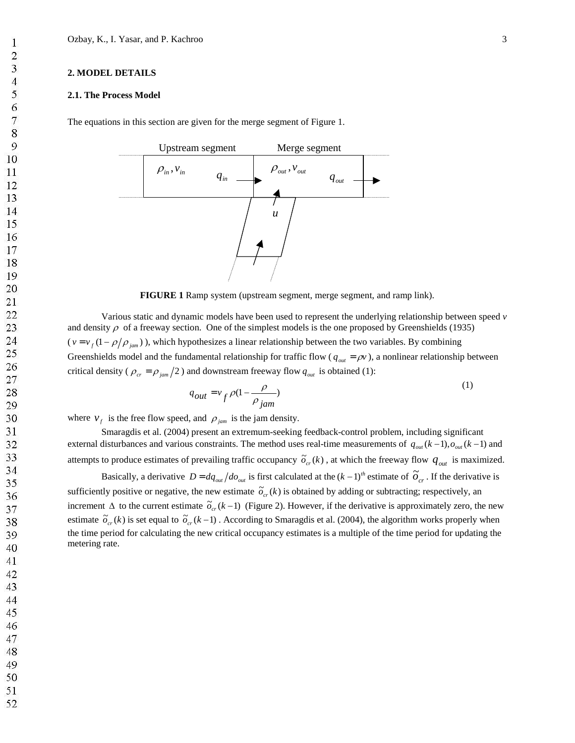### **2. MODEL DETAILS**

### **2.1. The Process Model**

The equations in this section are given for the merge segment of Figure 1.



**FIGURE 1** Ramp system (upstream segment, merge segment, and ramp link).

Various static and dynamic models have been used to represent the underlying relationship between speed *v* and density  $\rho$  of a freeway section. One of the simplest models is the one proposed by Greenshields (1935)  $(v = v_f (1 - \rho/\rho_{jam}))$ , which hypothesizes a linear relationship between the two variables. By combining Greenshields model and the fundamental relationship for traffic flow ( $q_{out} = \rho v$ ), a nonlinear relationship between critical density ( $\rho_{cr} = \rho_{jam}/2$ ) and downstream freeway flow  $q_{out}$  is obtained (1):

$$
q_{out} = v_f \rho (1 - \frac{\rho}{\rho_{jam}})
$$
 (1)

where  $v_f$  is the free flow speed, and  $\rho_{jam}$  is the jam density.

Smaragdis et al. (2004) present an extremum-seeking feedback-control problem, including significant external disturbances and various constraints. The method uses real-time measurements of  $q_{out}(k-1)$ ,  $o_{out}(k-1)$  and attempts to produce estimates of prevailing traffic occupancy  $\tilde{\sigma}_{cr}(k)$ , at which the freeway flow  $q_{out}$  is maximized.

Basically, a derivative  $D = dq_{out} / do_{out}$  is first calculated at the  $(k-1)^{th}$  estimate of  $\tilde{O}_{cr}$ . If the derivative is sufficiently positive or negative, the new estimate  $\tilde{\sigma}_{cr}(k)$  is obtained by adding or subtracting; respectively, an increment  $\Delta$  to the current estimate  $\tilde{\sigma}_{cr}(k-1)$  (Figure 2). However, if the derivative is approximately zero, the new estimate  $\tilde{o}_{cr}(k)$  is set equal to  $\tilde{o}_{cr}(k-1)$ . According to Smaragdis et al. (2004), the algorithm works properly when the time period for calculating the new critical occupancy estimates is a multiple of the time period for updating the metering rate.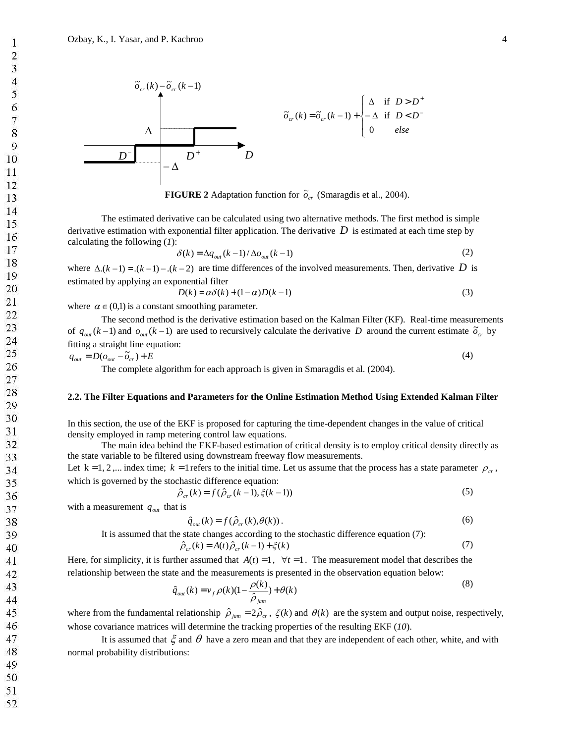

**FIGURE 2** Adaptation function for  $\tilde{o}_{cr}$  (Smaragdis et al., 2004).

The estimated derivative can be calculated using two alternative methods. The first method is simple derivative estimation with exponential filter application. The derivative *D* is estimated at each time step by calculating the following (*1*):

$$
\delta(k) = \Delta q_{out}(k-1) / \Delta o_{out}(k-1)
$$
\n(2)

where  $\Delta(k-1) = (k-1) - (k-2)$  are time differences of the involved measurements. Then, derivative *D* is estimated by applying an exponential filter

$$
D(k) = \alpha \delta(k) + (1 - \alpha)D(k - 1) \tag{3}
$$

where  $\alpha \in (0,1)$  is a constant smoothing parameter.

The second method is the derivative estimation based on the Kalman Filter (KF). Real-time measurements of  $q_{out}(k-1)$  and  $o_{out}(k-1)$  are used to recursively calculate the derivative *D* around the current estimate  $\tilde{o}_{cr}$  by fitting a straight line equation:

$$
q_{out} = D(o_{out} - \tilde{o}_{cr}) + E
$$
\n<sup>(4)</sup>

The complete algorithm for each approach is given in Smaragdis et al. (2004).

### **2.2. The Filter Equations and Parameters for the Online Estimation Method Using Extended Kalman Filter**

In this section, the use of the EKF is proposed for capturing the time-dependent changes in the value of critical density employed in ramp metering control law equations.

The main idea behind the EKF-based estimation of critical density is to employ critical density directly as the state variable to be filtered using downstream freeway flow measurements.

Let  $k = 1, 2, ...$  index time;  $k = 1$  refers to the initial time. Let us assume that the process has a state parameter  $\rho_{cr}$ , which is governed by the stochastic difference equation:

$$
\hat{\rho}_{cr}(k) = f(\hat{\rho}_{cr}(k-1), \xi(k-1))\tag{5}
$$

with a measurement  $q_{out}$  that is

$$
\hat{q}_{out}(k) = f(\hat{\rho}_{cr}(k), \theta(k)).
$$
\n(6)

It is assumed that the state changes according to the stochastic difference equation (7):

$$
\hat{\rho}_{cr}(k) = A(t)\hat{\rho}_{cr}(k-1) + \xi(k)
$$
\n(7)

Here, for simplicity, it is further assumed that  $A(t) = 1$ ,  $\forall t = 1$ . The measurement model that describes the relationship between the state and the measurements is presented in the observation equation below:

$$
\hat{q}_{out}(k) = v_f \rho(k)(1 - \frac{\rho(k)}{\hat{\rho}_{jam}}) + \theta(k)
$$
\n(8)

where from the fundamental relationship  $\hat{\rho}_{jam} = 2\hat{\rho}_{cr}$ ,  $\xi(k)$  and  $\theta(k)$  are the system and output noise, respectively, whose covariance matrices will determine the tracking properties of the resulting EKF (*10*).

It is assumed that  $\zeta$  and  $\theta$  have a zero mean and that they are independent of each other, white, and with normal probability distributions: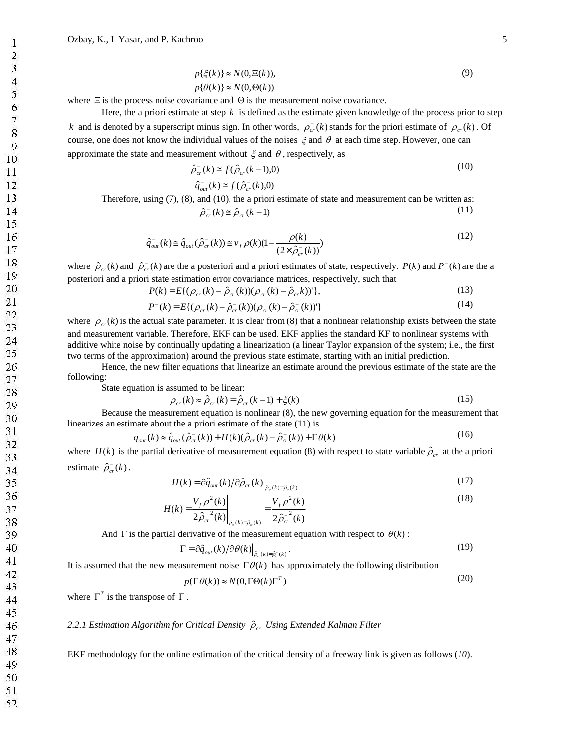$$
p\{\xi(k)\} \approx N(0, \Xi(k)),
$$
  
 
$$
p\{\theta(k)\} \approx N(0, \Theta(k))
$$
 (9)

where  $\Xi$  is the process noise covariance and  $\Theta$  is the measurement noise covariance.

Here, the a priori estimate at step *k* is defined as the estimate given knowledge of the process prior to step *k* and is denoted by a superscript minus sign. In other words,  $\rho_{cr}^-(k)$  stands for the priori estimate of  $\rho_{cr}(k)$ . Of course, one does not know the individual values of the noises  $\xi$  and  $\theta$  at each time step. However, one can approximate the state and measurement without  $\xi$  and  $\theta$ , respectively, as

$$
\hat{\rho}_{cr}^{-}(k) \cong f(\hat{\rho}_{cr}(k-1),0) \tag{10}
$$

$$
\hat{q}_{out}^{-}(k) \cong f(\hat{\rho}_{cr}^{-}(k), 0)
$$

Therefore, using (7), (8), and (10), the a priori estimate of state and measurement can be written as:  $\hat{\rho}_{cr}^{-}(k) \cong \hat{\rho}_{cr}(k-1)$  (11)

$$
\hat{q}_{out}^-(k) \cong \hat{q}_{out}(\hat{\rho}_{cr}^-(k)) \cong \nu_f \rho(k)(1 - \frac{\rho(k)}{(2 \times \hat{\rho}_{cr}^-(k))})
$$
\n(12)

where  $\hat{\rho}_{cr}(k)$  and  $\hat{\rho}_{cr}^-(k)$  are the a posteriori and a priori estimates of state, respectively.  $P(k)$  and  $P^-(k)$  are the a posteriori and a priori state estimation error covariance matrices, respectively, such that

$$
P(k) = E\{ (\rho_{cr}(k) - \hat{\rho}_{cr}(k)) (\rho_{cr}(k) - \hat{\rho}_{cr}(k))' \},
$$
\n(13)

$$
P^{-}(k) = E\{(\rho_{cr}(k) - \hat{\rho}_{cr}^{-}(k))(\rho_{cr}(k) - \hat{\rho}_{cr}^{-}(k))'\}
$$
\n(14)

where  $\rho_{cr}(k)$  is the actual state parameter. It is clear from (8) that a nonlinear relationship exists between the state and measurement variable. Therefore, EKF can be used. EKF applies the standard KF to nonlinear systems with additive white noise by continually updating a linearization (a linear Taylor expansion of the system; i.e., the first two terms of the approximation) around the previous state estimate, starting with an initial prediction.

Hence, the new filter equations that linearize an estimate around the previous estimate of the state are the following:

State equation is assumed to be linear:

$$
\rho_{cr}(k) \approx \hat{\rho}_{cr}(k) = \hat{\rho}_{cr}(k-1) + \xi(k)
$$
\n(15)

Because the measurement equation is nonlinear (8), the new governing equation for the measurement that linearizes an estimate about the a priori estimate of the state (11) is

$$
q_{out}(k) \approx \hat{q}_{out}(\hat{\rho}_{cr}^{-}(k)) + H(k)(\hat{\rho}_{cr}(k) - \hat{\rho}_{cr}^{-}(k)) + \Gamma \theta(k)
$$
\n(16)

where  $H(k)$  is the partial derivative of measurement equation (8) with respect to state variable  $\hat{\rho}_{cr}$  at the a priori estimate  $\hat{\rho}_{cr}^-(k)$ .

$$
H(k) = \partial \hat{q}_{out}(k) / \partial \hat{\rho}_{cr}(k) \Big|_{\hat{\rho}_{cr}(k) = \hat{\rho}_{cr}^-(k)} \tag{17}
$$

$$
H(k) = \frac{V_f \rho^2(k)}{2\hat{\rho}_{cr}^2(k)} \bigg|_{\hat{\rho}_c(k) = \hat{\rho}_c(k)} = \frac{V_f \rho^2(k)}{2\hat{\rho}_{cr}^{-2}(k)} \tag{18}
$$

And  $\Gamma$  is the partial derivative of the measurement equation with respect to  $\theta(k)$ :

$$
\Gamma = \partial \hat{q}_{out}(k) / \partial \theta(k) \Big|_{\hat{\rho}_{\sigma}(k) = \hat{\rho}_{\sigma}(k)}.
$$
\n(19)

It is assumed that the new measurement noise  $\Gamma \theta(k)$  has approximately the following distribution

$$
p(\Gamma \theta(k)) \approx N(0, \Gamma \Theta(k) \Gamma^{T})
$$
\n(20)

where  $\Gamma^T$  is the transpose of  $\Gamma$ .

### 2.2.1 Estimation Algorithm for Critical Density  $\hat{\rho}_{cr}$  Using Extended Kalman Filter

EKF methodology for the online estimation of the critical density of a freeway link is given as follows (*10*).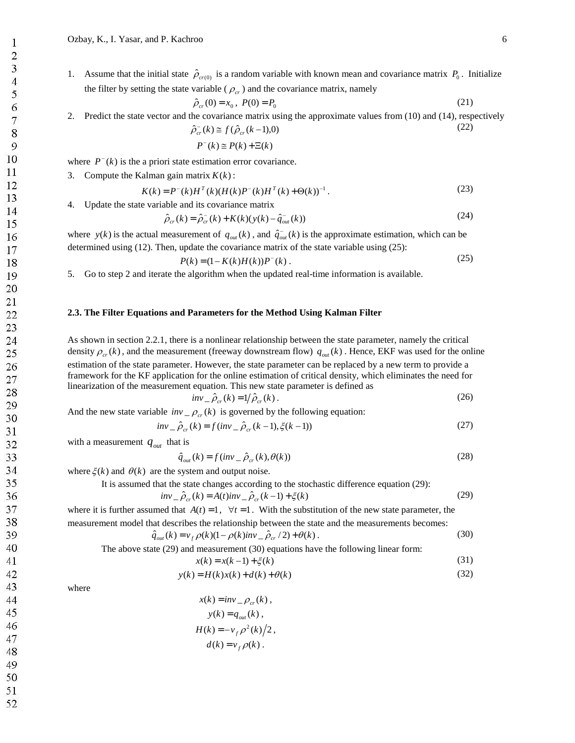1. Assume that the initial state  $\hat{\rho}_{cr(0)}$  is a random variable with known mean and covariance matrix  $P_0$ . Initialize the filter by setting the state variable ( $\rho_{cr}$ ) and the covariance matrix, namely

$$
\hat{\rho}_{cr}(0) = x_0, \ P(0) = P_0 \tag{21}
$$

2. Predict the state vector and the covariance matrix using the approximate values from (10) and (14), respectively

$$
\hat{\rho}_{cr}^{-}(k) \cong f(\hat{\rho}_{cr}(k-1),0)
$$
\n
$$
P^{-}(k) \cong P(k) + \Xi(k)
$$
\n(22)

where  $P^{-}(k)$  is the a priori state estimation error covariance.

3. Compute the Kalman gain matrix  $K(k)$ :

$$
K(k) = P^{-}(k)H^{T}(k)(H(k)P^{-}(k)H^{T}(k) + \Theta(k))^{-1}.
$$
\n(23)

4. Update the state variable and its covariance matrix

$$
\hat{\rho}_{cr}(k) = \hat{\rho}_{cr}^{-}(k) + K(k)(y(k) - \hat{q}_{out}^{-}(k))
$$
\n(24)

where  $y(k)$  is the actual measurement of  $q_{out}(k)$ , and  $\hat{q}_{out}(k)$  is the approximate estimation, which can be determined using (12). Then, update the covariance matrix of the state variable using (25):

$$
P(k) = (1 - K(k)H(k))P^{-}(k) .
$$
 (25)

5. Go to step 2 and iterate the algorithm when the updated real-time information is available.

### **2.3. The Filter Equations and Parameters for the Method Using Kalman Filter**

As shown in section 2.2.1, there is a nonlinear relationship between the state parameter, namely the critical density  $\rho_{cr}(k)$ , and the measurement (freeway downstream flow)  $q_{out}(k)$ . Hence, EKF was used for the online estimation of the state parameter. However, the state parameter can be replaced by a new term to provide a framework for the KF application for the online estimation of critical density, which eliminates the need for linearization of the measurement equation. This new state parameter is defined as

$$
inv_{-} \hat{\rho}_{cr}(k) = 1/\hat{\rho}_{cr}(k) \tag{26}
$$

And the new state variable  $inv_{\alpha}$  –  $\rho_{cr}(k)$  is governed by the following equation:

 $x(k)$ 

$$
inv_{-} \hat{\rho}_{cr}(k) = f(inv_{-} \hat{\rho}_{cr}(k-1), \xi(k-1))
$$
\n(27)

with a measurement  $q_{out}$  that is

$$
\hat{q}_{out}(k) = f(inv_{-} \hat{\rho}_{cr}(k), \theta(k))
$$
\n(28)

where  $\xi(k)$  and  $\theta(k)$  are the system and output noise.

It is assumed that the state changes according to the stochastic difference equation (29):

$$
inv_{-} \hat{\rho}_{cr}(k) = A(t)inv_{-} \hat{\rho}_{cr}(k-1) + \xi(k)
$$
\n(29)

where it is further assumed that  $A(t) = 1$ ,  $\forall t = 1$ . With the substitution of the new state parameter, the measurement model that describes the relationship between the state and the measurements becomes:

$$
\hat{q}_{out}(k) = v_f \rho(k)(1 - \rho(k)inv_{-} \hat{\rho}_{cr}/2) + \theta(k).
$$
\n(30)

The above state (29) and measurement (30) equations have the following linear form:

$$
= x(k-1) + \xi(k)
$$
\n(31)

$$
y(k) = H(k)x(k) + d(k) + \theta(k)
$$
\n(32)

where

$$
x(k) = inv_{\rho_{cr}}(k),
$$
  
\n
$$
y(k) = q_{out}(k),
$$
  
\n
$$
H(k) = -v_f \rho^2(k)/2,
$$
  
\n
$$
d(k) = v_f \rho(k).
$$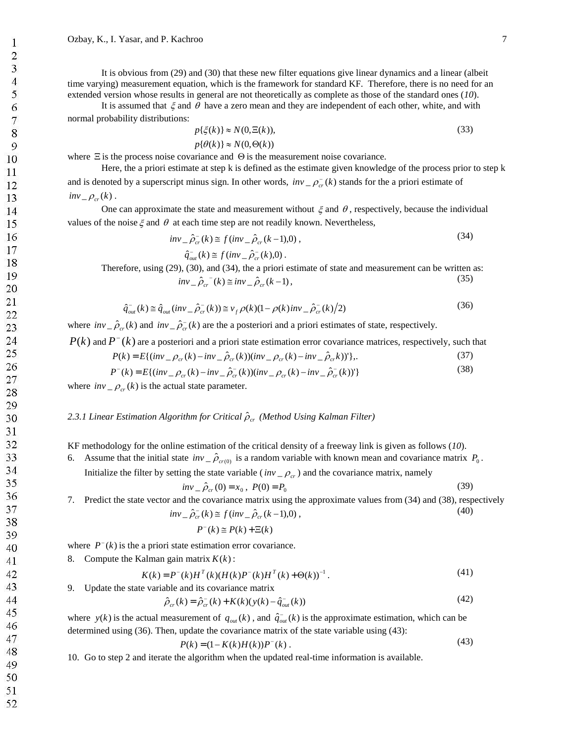It is obvious from (29) and (30) that these new filter equations give linear dynamics and a linear (albeit time varying) measurement equation, which is the framework for standard KF. Therefore, there is no need for an extended version whose results in general are not theoretically as complete as those of the standard ones (*10*).

It is assumed that  $\xi$  and  $\theta$  have a zero mean and they are independent of each other, white, and with normal probability distributions:

$$
p{\xi(k)} \approx N(0, \Xi(k)),
$$
  
\n
$$
p{\theta(k)} \approx N(0, \Theta(k))
$$
\n(33)

where  $\Xi$  is the process noise covariance and  $\Theta$  is the measurement noise covariance.

Here, the a priori estimate at step k is defined as the estimate given knowledge of the process prior to step k and is denoted by a superscript minus sign. In other words,  $inv_{\tau} \rho_{cr}^-(k)$  stands for the a priori estimate of  $inv_{\scriptstyle -} \rho_{\scriptstyle cr}(k)$ .

One can approximate the state and measurement without  $\xi$  and  $\theta$ , respectively, because the individual values of the noise  $\xi$  and  $\theta$  at each time step are not readily known. Nevertheless,

$$
inv_{-}\hat{\rho}_{cr}^{-}(k) \cong f(inv_{-}\hat{\rho}_{cr}(k-1),0),
$$
  
\n
$$
\hat{q}_{out}^{-}(k) \cong f(inv_{-}\hat{\rho}_{cr}^{-}(k),0).
$$
\n(34)

Therefore, using (29), (30), and (34), the a priori estimate of state and measurement can be written as:  $inv_{-} \hat{\rho}_{cr}^{-}(k) \cong inv_{-} \hat{\rho}_{cr}(k-1),$  (35)

$$
\hat{q}_{out}^{-}(k) \cong \hat{q}_{out}(inv_{-}\hat{\rho}_{cr}^{-}(k)) \cong v_f \rho(k)(1-\rho(k)inv_{-}\hat{\rho}_{cr}^{-}(k)/2)
$$
\n(36)

where  $inv_{\mu} \hat{\rho}_{cr}(k)$  and  $inv_{\mu} \hat{\rho}_{cr}(k)$  are the a posteriori and a priori estimates of state, respectively.

 $P(k)$  and  $P^{-}(k)$  are a posteriori and a priori state estimation error covariance matrices, respectively, such that

$$
P(k) = E\{ (inv_{-}\rho_{cr}(k) - inv_{-}\hat{\rho}_{cr}(k)) (inv_{-}\rho_{cr}(k) - inv_{-}\hat{\rho}_{cr}(k))' \},
$$
\n(37)

$$
P^{-}(k) = E\{(inv_{-}\rho_{cr}(k) - inv_{-}\hat{\rho}_{cr}^{-}(k))(inv_{-}\rho_{cr}(k) - inv_{-}\hat{\rho}_{cr}^{-}(k))'\}
$$
(38)

where  $inv_{\text{r}} = \rho_{cr}(k)$  is the actual state parameter.

## 2.3.1 Linear Estimation Algorithm for Critical  $\hat{\rho}_{cr}$  (Method Using Kalman Filter)

KF methodology for the online estimation of the critical density of a freeway link is given as follows (*10*).

6. Assume that the initial state  $inv_{\alpha} \hat{\rho}_{cr(0)}$  is a random variable with known mean and covariance matrix  $P_0$ .

Initialize the filter by setting the state variable ( $inv_{\tau}$ ) and the covariance matrix, namely

$$
inv_{-} \hat{\rho}_{cr}(0) = x_0 , P(0) = P_0
$$
\n(39)

7. Predict the state vector and the covariance matrix using the approximate values from (34) and (38), respectively  $inv_{-} \hat{\rho}_{cr}^{-}(k) \cong f(i n v_{-} \hat{\rho}_{cr}(k-1), 0)$ , (40)

$$
P^-(k) \cong P(k) + \Xi(k)
$$

where  $P^{-}(k)$  is the a priori state estimation error covariance.

8. Compute the Kalman gain matrix  $K(k)$ :

$$
K(k) = P^{-(k)}H^{T}(k)(H(k)P^{-(k)}H^{T}(k) + \Theta(k))^{-1}.
$$
\n(41)

9. Update the state variable and its covariance matrix

$$
\hat{\rho}_{cr}(k) = \hat{\rho}_{cr}^{-}(k) + K(k)(y(k) - \hat{q}_{out}^{-}(k))
$$
\n(42)

where  $y(k)$  is the actual measurement of  $q_{out}(k)$ , and  $\hat{q}_{out}(k)$  is the approximate estimation, which can be determined using (36). Then, update the covariance matrix of the state variable using (43):

$$
P(k) = (1 - K(k)H(k))P^{-}(k).
$$
\n(43)

10. Go to step 2 and iterate the algorithm when the updated real-time information is available.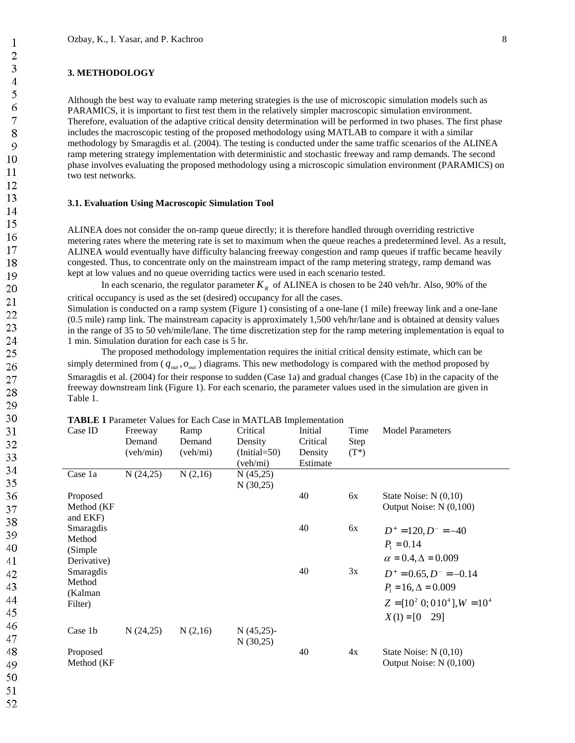# **3. METHODOLOGY**

Although the best way to evaluate ramp metering strategies is the use of microscopic simulation models such as PARAMICS, it is important to first test them in the relatively simpler macroscopic simulation environment. Therefore, evaluation of the adaptive critical density determination will be performed in two phases. The first phase includes the macroscopic testing of the proposed methodology using MATLAB to compare it with a similar methodology by Smaragdis et al. (2004). The testing is conducted under the same traffic scenarios of the ALINEA ramp metering strategy implementation with deterministic and stochastic freeway and ramp demands. The second phase involves evaluating the proposed methodology using a microscopic simulation environment (PARAMICS) on two test networks.

#### **3.1. Evaluation Using Macroscopic Simulation Tool**

ALINEA does not consider the on-ramp queue directly; it is therefore handled through overriding restrictive metering rates where the metering rate is set to maximum when the queue reaches a predetermined level. As a result, ALINEA would eventually have difficulty balancing freeway congestion and ramp queues if traffic became heavily congested. Thus, to concentrate only on the mainstream impact of the ramp metering strategy, ramp demand was kept at low values and no queue overriding tactics were used in each scenario tested.

In each scenario, the regulator parameter  $K_R$  of ALINEA is chosen to be 240 veh/hr. Also, 90% of the critical occupancy is used as the set (desired) occupancy for all the cases.

Simulation is conducted on a ramp system (Figure 1) consisting of a one-lane (1 mile) freeway link and a one-lane (0.5 mile) ramp link. The mainstream capacity is approximately 1,500 veh/hr/lane and is obtained at density values in the range of 35 to 50 veh/mile/lane. The time discretization step for the ramp metering implementation is equal to 1 min. Simulation duration for each case is 5 hr.

The proposed methodology implementation requires the initial critical density estimate, which can be simply determined from  $(q_{out}, o_{out})$  diagrams. This new methodology is compared with the method proposed by Smaragdis et al. (2004) for their response to sudden (Case 1a) and gradual changes (Case 1b) in the capacity of the freeway downstream link (Figure 1). For each scenario, the parameter values used in the simulation are given in Table 1.

| Case ID     | Freeway   | Ramp     | Critical       | Initial  | Time        | <b>Model Parameters</b>            |
|-------------|-----------|----------|----------------|----------|-------------|------------------------------------|
|             | Demand    | Demand   | Density        | Critical | <b>Step</b> |                                    |
|             | (veh/min) | (veh/mi) | $(Initial=50)$ | Density  | $(T^*)$     |                                    |
|             |           |          | (veh/mi)       | Estimate |             |                                    |
| Case 1a     | N(24,25)  | N(2,16)  | N(45,25)       |          |             |                                    |
|             |           |          | N(30,25)       |          |             |                                    |
| Proposed    |           |          |                | 40       | 6x          | State Noise: $N(0,10)$             |
| Method (KF  |           |          |                |          |             | Output Noise: N (0,100)            |
| and EKF)    |           |          |                |          |             |                                    |
| Smaragdis   |           |          |                | 40       | 6x          | $D^+ = 120, D^- = -40$             |
| Method      |           |          |                |          |             | $P_1 = 0.14$                       |
| (Simple     |           |          |                |          |             |                                    |
| Derivative) |           |          |                |          |             | $\alpha = 0.4, \Delta = 0.009$     |
| Smaragdis   |           |          |                | 40       | 3x          | $D^+ = 0.65, D^- = -0.14$          |
| Method      |           |          |                |          |             | $P_1 = 16, \Delta = 0.009$         |
| (Kalman     |           |          |                |          |             |                                    |
| Filter)     |           |          |                |          |             | $Z = [10^2 \, 0; 010^4], W = 10^4$ |
|             |           |          |                |          |             | $X(1) = [0 29]$                    |
| Case 1b     | N(24,25)  | N(2,16)  | $N(45,25)$ -   |          |             |                                    |
|             |           |          | N(30,25)       |          |             |                                    |
| Proposed    |           |          |                | 40       | 4x          | State Noise: $N(0,10)$             |
| Method (KF  |           |          |                |          |             | Output Noise: N (0,100)            |

 $T_A$  Parameter Values for Each Case in Material Impediate in Materia in Materia in Materia in Materia in Materia in Materia in Materia in Materia in Materia in Materia in Materia in Materia in Materia in Materia in Materia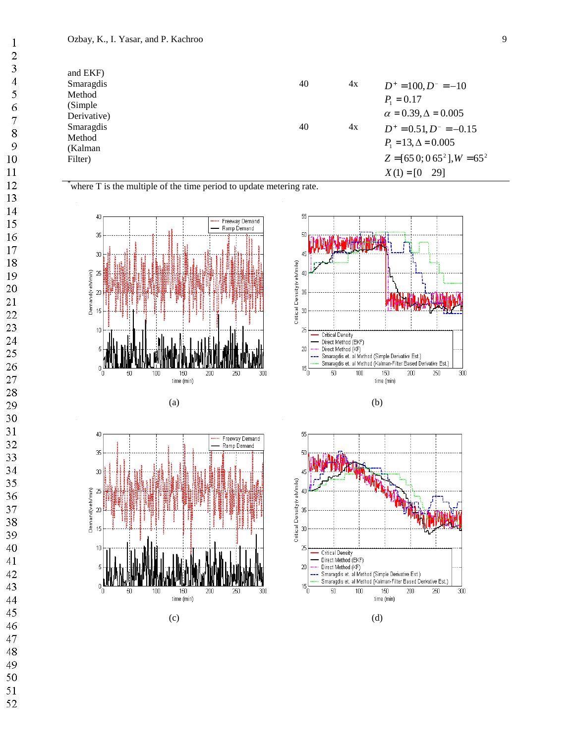$\,1$  $\overline{c}$  $\overline{\mathbf{3}}$  $\overline{4}$  $\overline{7}$  $\overline{9}$  $10\,$ 

 $16\,$ 

| and EKF)    |    |    |                                 |
|-------------|----|----|---------------------------------|
| Smaragdis   | 40 | 4x | $D^+ = 100, D^- = -10$          |
| Method      |    |    | $P_1 = 0.17$                    |
| (Simple)    |    |    |                                 |
| Derivative) |    |    | $\alpha = 0.39, \Delta = 0.005$ |
| Smaragdis   | 40 | 4x | $D^+ = 0.51, D^- = -0.15$       |
| Method      |    |    | $P_1 = 13, \Delta = 0.005$      |
| (Kalman)    |    |    |                                 |
| Filter)     |    |    | $Z = [650; 065^2], W = 65^2$    |
|             |    |    | - 291<br>$X(1) = [0]$           |













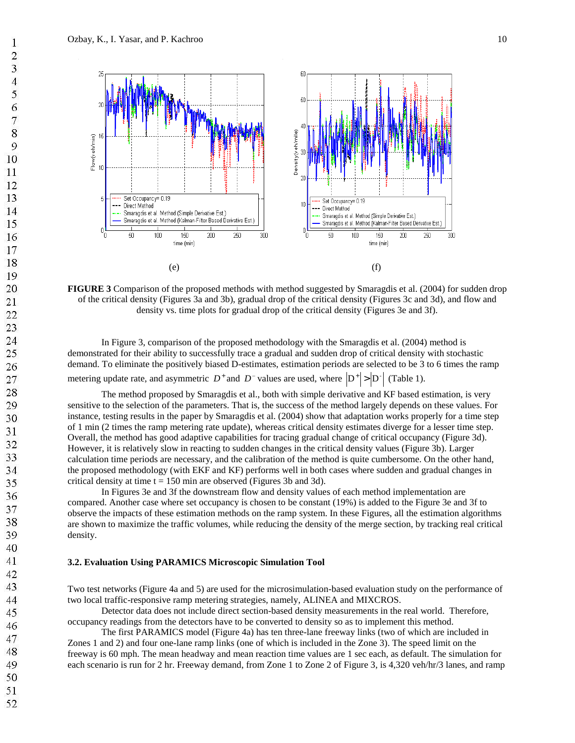

**FIGURE 3** Comparison of the proposed methods with method suggested by Smaragdis et al. (2004) for sudden drop of the critical density (Figures 3a and 3b), gradual drop of the critical density (Figures 3c and 3d), and flow and density vs. time plots for gradual drop of the critical density (Figures 3e and 3f).

In Figure 3, comparison of the proposed methodology with the Smaragdis et al. (2004) method is demonstrated for their ability to successfully trace a gradual and sudden drop of critical density with stochastic demand. To eliminate the positively biased D-estimates, estimation periods are selected to be 3 to 6 times the ramp metering update rate, and asymmetric  $D^+$  and  $D^-$  values are used, where  $|D^+|>|D^-|$  (Table 1).

The method proposed by Smaragdis et al., both with simple derivative and KF based estimation, is very sensitive to the selection of the parameters. That is, the success of the method largely depends on these values. For instance, testing results in the paper by Smaragdis et al. (2004) show that adaptation works properly for a time step of 1 min (2 times the ramp metering rate update), whereas critical density estimates diverge for a lesser time step. Overall, the method has good adaptive capabilities for tracing gradual change of critical occupancy (Figure 3d). However, it is relatively slow in reacting to sudden changes in the critical density values (Figure 3b). Larger calculation time periods are necessary, and the calibration of the method is quite cumbersome. On the other hand, the proposed methodology (with EKF and KF) performs well in both cases where sudden and gradual changes in critical density at time  $t = 150$  min are observed (Figures 3b and 3d).

In Figures 3e and 3f the downstream flow and density values of each method implementation are compared. Another case where set occupancy is chosen to be constant (19%) is added to the Figure 3e and 3f to observe the impacts of these estimation methods on the ramp system. In these Figures, all the estimation algorithms are shown to maximize the traffic volumes, while reducing the density of the merge section, by tracking real critical density.

### **3.2. Evaluation Using PARAMICS Microscopic Simulation Tool**

Two test networks (Figure 4a and 5) are used for the microsimulation-based evaluation study on the performance of two local traffic-responsive ramp metering strategies, namely, ALINEA and MIXCROS.

Detector data does not include direct section-based density measurements in the real world. Therefore, occupancy readings from the detectors have to be converted to density so as to implement this method.

The first PARAMICS model (Figure 4a) has ten three-lane freeway links (two of which are included in Zones 1 and 2) and four one-lane ramp links (one of which is included in the Zone 3). The speed limit on the freeway is 60 mph. The mean headway and mean reaction time values are 1 sec each, as default. The simulation for each scenario is run for 2 hr. Freeway demand, from Zone 1 to Zone 2 of Figure 3, is 4,320 veh/hr/3 lanes, and ramp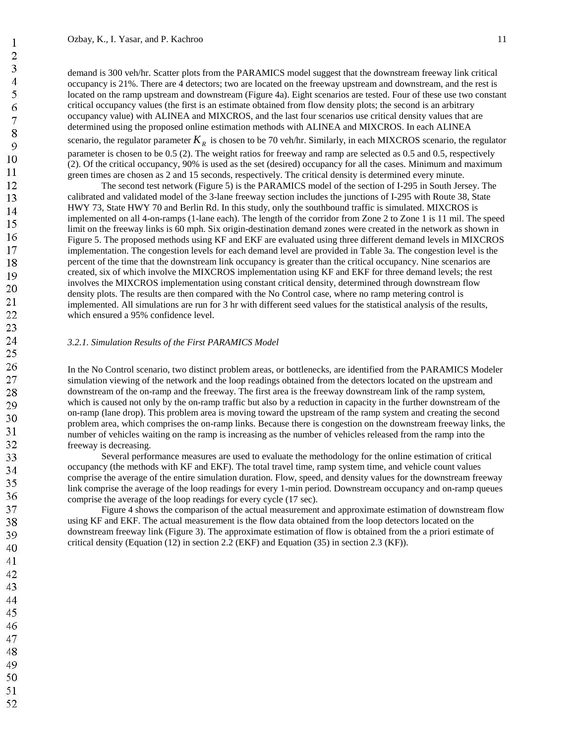demand is 300 veh/hr. Scatter plots from the PARAMICS model suggest that the downstream freeway link critical occupancy is 21%. There are 4 detectors; two are located on the freeway upstream and downstream, and the rest is located on the ramp upstream and downstream (Figure 4a). Eight scenarios are tested. Four of these use two constant critical occupancy values (the first is an estimate obtained from flow density plots; the second is an arbitrary occupancy value) with ALINEA and MIXCROS, and the last four scenarios use critical density values that are determined using the proposed online estimation methods with ALINEA and MIXCROS. In each ALINEA scenario, the regulator parameter  $K<sub>R</sub>$  is chosen to be 70 veh/hr. Similarly, in each MIXCROS scenario, the regulator parameter is chosen to be 0.5 (2). The weight ratios for freeway and ramp are selected as 0.5 and 0.5, respectively (2). Of the critical occupancy, 90% is used as the set (desired) occupancy for all the cases. Minimum and maximum green times are chosen as 2 and 15 seconds, respectively. The critical density is determined every minute.

The second test network (Figure 5) is the PARAMICS model of the section of I-295 in South Jersey. The calibrated and validated model of the 3-lane freeway section includes the junctions of I-295 with Route 38, State HWY 73, State HWY 70 and Berlin Rd. In this study, only the southbound traffic is simulated. MIXCROS is implemented on all 4-on-ramps (1-lane each). The length of the corridor from Zone 2 to Zone 1 is 11 mil. The speed limit on the freeway links is 60 mph. Six origin-destination demand zones were created in the network as shown in Figure 5. The proposed methods using KF and EKF are evaluated using three different demand levels in MIXCROS implementation. The congestion levels for each demand level are provided in Table 3a. The congestion level is the percent of the time that the downstream link occupancy is greater than the critical occupancy. Nine scenarios are created, six of which involve the MIXCROS implementation using KF and EKF for three demand levels; the rest involves the MIXCROS implementation using constant critical density, determined through downstream flow density plots. The results are then compared with the No Control case, where no ramp metering control is implemented. All simulations are run for 3 hr with different seed values for the statistical analysis of the results, which ensured a 95% confidence level.

#### *3.2.1. Simulation Results of the First PARAMICS Model*

In the No Control scenario, two distinct problem areas, or bottlenecks, are identified from the PARAMICS Modeler simulation viewing of the network and the loop readings obtained from the detectors located on the upstream and downstream of the on-ramp and the freeway. The first area is the freeway downstream link of the ramp system, which is caused not only by the on-ramp traffic but also by a reduction in capacity in the further downstream of the on-ramp (lane drop). This problem area is moving toward the upstream of the ramp system and creating the second problem area, which comprises the on-ramp links. Because there is congestion on the downstream freeway links, the number of vehicles waiting on the ramp is increasing as the number of vehicles released from the ramp into the freeway is decreasing.

Several performance measures are used to evaluate the methodology for the online estimation of critical occupancy (the methods with KF and EKF). The total travel time, ramp system time, and vehicle count values comprise the average of the entire simulation duration. Flow, speed, and density values for the downstream freeway link comprise the average of the loop readings for every 1-min period. Downstream occupancy and on-ramp queues comprise the average of the loop readings for every cycle (17 sec).

Figure 4 shows the comparison of the actual measurement and approximate estimation of downstream flow using KF and EKF. The actual measurement is the flow data obtained from the loop detectors located on the downstream freeway link (Figure 3). The approximate estimation of flow is obtained from the a priori estimate of critical density (Equation (12) in section 2.2 (EKF) and Equation (35) in section 2.3 (KF)).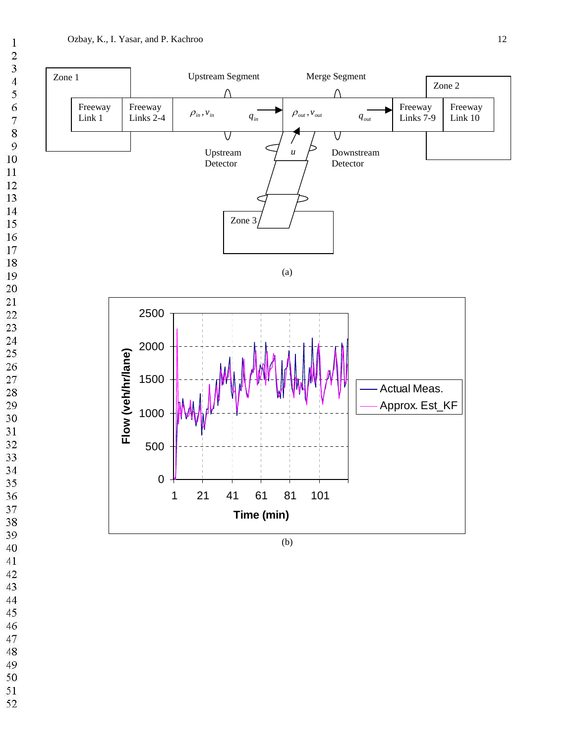

 $\mathbf{1}$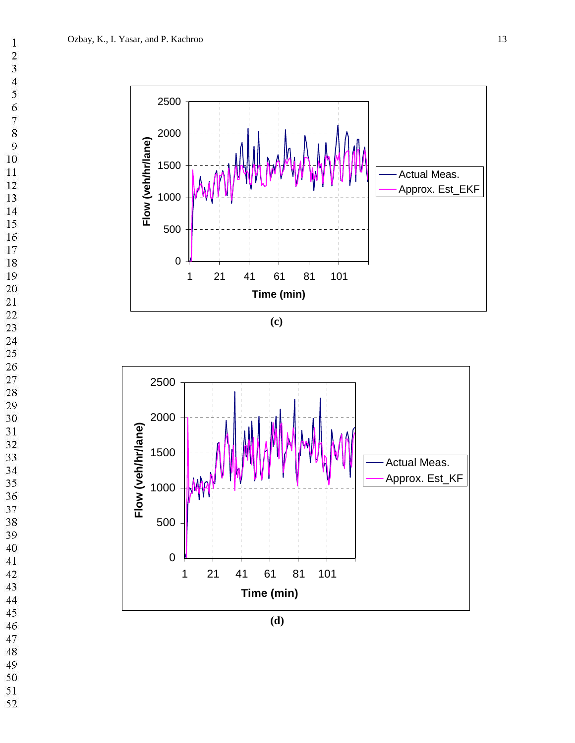$\,1$ 

 $\frac{2}{3}$ 

 $\overline{4}$ 

 $\frac{6}{7}$ 



**(c)**



**(d)**

- 
- 
- 
-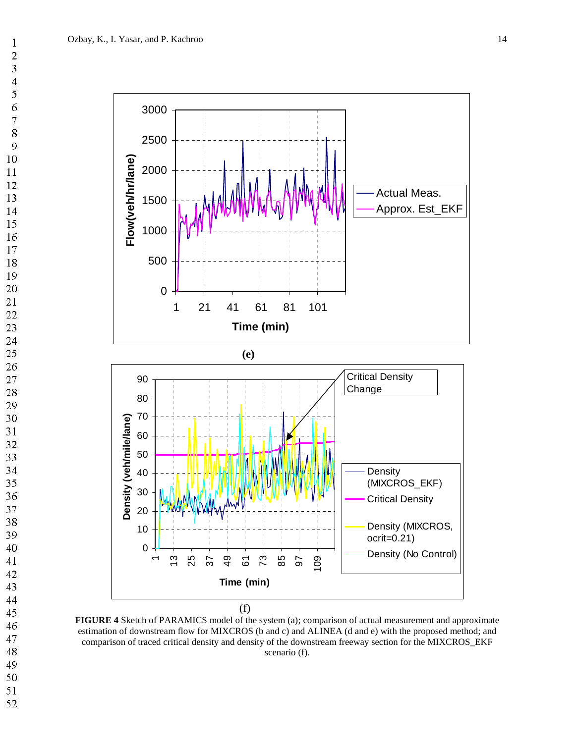$\mathbf{1}$  $\overline{c}$  $\overline{\mathbf{3}}$  $\overline{4}$  $\overline{7}$  $\overline{Q}$ 



**FIGURE 4** Sketch of PARAMICS model of the system (a); comparison of actual measurement and approximate estimation of downstream flow for MIXCROS (b and c) and ALINEA (d and e) with the proposed method; and comparison of traced critical density and density of the downstream freeway section for the MIXCROS\_EKF scenario (f).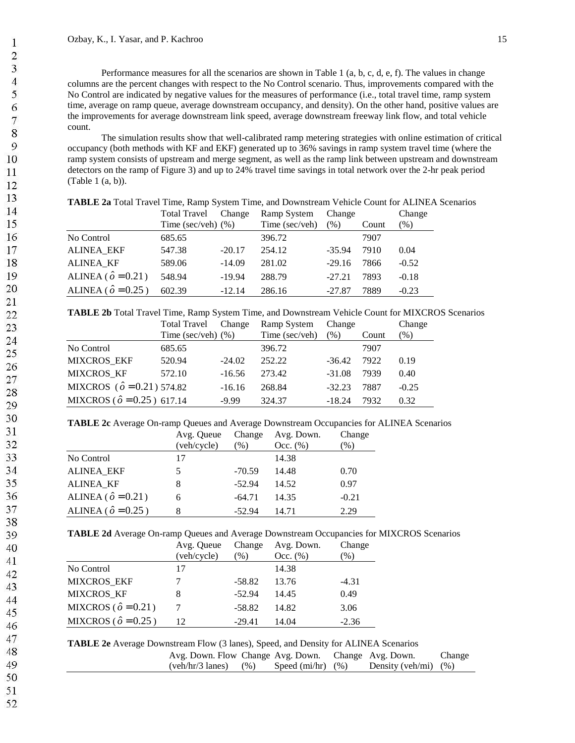Performance measures for all the scenarios are shown in Table 1 (a, b, c, d, e, f). The values in change columns are the percent changes with respect to the No Control scenario. Thus, improvements compared with the No Control are indicated by negative values for the measures of performance (i.e., total travel time, ramp system time, average on ramp queue, average downstream occupancy, and density). On the other hand, positive values are the improvements for average downstream link speed, average downstream freeway link flow, and total vehicle count.

The simulation results show that well-calibrated ramp metering strategies with online estimation of critical occupancy (both methods with KF and EKF) generated up to 36% savings in ramp system travel time (where the ramp system consists of upstream and merge segment, as well as the ramp link between upstream and downstream detectors on the ramp of Figure 3) and up to 24% travel time savings in total network over the 2-hr peak period (Table 1 (a, b)).

|                             | <b>Total Travel</b>   | Change   | Ramp System    | Change   |       | Change  |
|-----------------------------|-----------------------|----------|----------------|----------|-------|---------|
|                             | Time (sec/veh) $(\%)$ |          | Time (sec/veh) | (%)      | Count | $(\%)$  |
| No Control                  | 685.65                |          | 396.72         |          | 7907  |         |
| <b>ALINEA EKF</b>           | 547.38                | $-20.17$ | 254.12         | $-35.94$ | 7910  | 0.04    |
| <b>ALINEA KF</b>            | 589.06                | $-14.09$ | 281.02         | $-29.16$ | 7866  | $-0.52$ |
| ALINEA ( $\hat{o} = 0.21$ ) | 548.94                | $-19.94$ | 288.79         | $-27.21$ | 7893  | $-0.18$ |
| ALINEA ( $\hat{o} = 0.25$ ) | 602.39                | $-12.14$ | 286.16         | $-27.87$ | 7889  | $-0.23$ |

**TABLE 2a** Total Travel Time, Ramp System Time, and Downstream Vehicle Count for ALINEA Scenarios

**TABLE 2b** Total Travel Time, Ramp System Time, and Downstream Vehicle Count for MIXCROS Scenarios

| <b>Total Travel</b>                 | Change   | Ramp System           | Change   |       | Change  |
|-------------------------------------|----------|-----------------------|----------|-------|---------|
|                                     |          | Time (sec/veh)        | (% )     | Count | $(\%)$  |
| 685.65                              |          | 396.72                |          | 7907  |         |
| 520.94                              | $-24.02$ | 252.22                | $-36.42$ | 7922  | 0.19    |
| 572.10                              | $-16.56$ | 273.42                | $-31.08$ | 7939  | 0.40    |
| MIXCROS ( $\hat{o} = 0.21$ ) 574.82 | $-16.16$ | 268.84                | $-32.23$ | 7887  | $-0.25$ |
| MIXCROS ( $\hat{o} = 0.25$ ) 617.14 | $-9.99$  | 324.37                | $-18.24$ | 7932  | 0.32    |
|                                     |          | Time (sec/veh) $(\%)$ |          |       |         |

**TABLE 2c** Average On-ramp Queues and Average Downstream Occupancies for ALINEA Scenarios

|                             | Avg. Queue  | Change   | Avg. Down.  | Change        |
|-----------------------------|-------------|----------|-------------|---------------|
|                             | (veh/cycle) | (%)      | Occ. $(\%)$ | $\frac{9}{6}$ |
| No Control                  | 17          |          | 14.38       |               |
| <b>ALINEA_EKF</b>           |             | $-70.59$ | 14.48       | 0.70          |
| <b>ALINEA KF</b>            |             | $-52.94$ | 14.52       | 0.97          |
| ALINEA ( $\hat{o} = 0.21$ ) | 6           | $-64.71$ | 14.35       | $-0.21$       |
| ALINEA ( $\hat{o} = 0.25$ ) |             | $-52.94$ | 14.71       | 2.29          |

**TABLE 2d** Average On-ramp Queues and Average Downstream Occupancies for MIXCROS Scenarios

|                              | Avg. Queue<br>(veh/cycle) | Change<br>$\frac{9}{6}$ | Avg. Down.<br>Occ. $(\%)$ | Change<br>$\mathcal{O}_0$ |
|------------------------------|---------------------------|-------------------------|---------------------------|---------------------------|
| No Control                   | 17                        |                         | 14.38                     |                           |
| <b>MIXCROS EKF</b>           |                           | $-58.82$                | 13.76                     | $-4.31$                   |
| MIXCROS KF                   | 8                         | $-52.94$                | 14.45                     | 0.49                      |
| MIXCROS ( $\hat{o} = 0.21$ ) |                           | $-58.82$                | 14.82                     | 3.06                      |
| MIXCROS ( $\hat{o} = 0.25$ ) | 12                        | $-29.41$                | 14.04                     | $-2.36$                   |

|  |  | TABLE 2e Average Downstream Flow (3 lanes), Speed, and Density for ALINEA Scenarios |
|--|--|-------------------------------------------------------------------------------------|
|  |  |                                                                                     |

| Avg. Down. Flow Change Avg. Down. Change Avg. Down. |                             |                          | Change |
|-----------------------------------------------------|-----------------------------|--------------------------|--------|
| $(veh/hr/3$ lanes)                                  | $(\%)$ Speed (mi/hr) $(\%)$ | Density (veh/mi) $(\% )$ |        |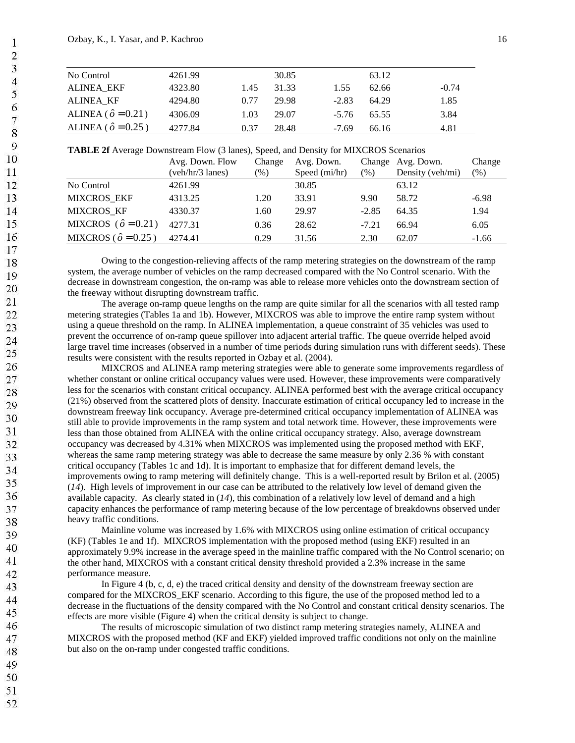| No Control                  | 4261.99 |      | 30.85 |         | 63.12 |         |
|-----------------------------|---------|------|-------|---------|-------|---------|
| <b>ALINEA EKF</b>           | 4323.80 | 1.45 | 31.33 | 1.55    | 62.66 | $-0.74$ |
| ALINEA KF                   | 4294.80 | 0.77 | 29.98 | $-2.83$ | 64.29 | 1.85    |
| ALINEA ( $\hat{o} = 0.21$ ) | 4306.09 | 1.03 | 29.07 | $-5.76$ | 65.55 | 3.84    |
| ALINEA ( $\hat{o} = 0.25$ ) | 4277.84 | 0.37 | 28.48 | $-7.69$ | 66.16 | 4.81    |

**TABLE 2f** Average Downstream Flow (3 lanes), Speed, and Density for MIXCROS Scenarios

| ັ                               | Avg. Down. Flow<br>(veh/hr/3 lanes) | Change<br>$(\%)$ | Avg. Down.<br>Speed (mi/hr) | $(\% )$ | Change Avg. Down.<br>Density (veh/mi) | Change<br>$(\%)$ |
|---------------------------------|-------------------------------------|------------------|-----------------------------|---------|---------------------------------------|------------------|
| No Control                      | 4261.99                             |                  | 30.85                       |         | 63.12                                 |                  |
| <b>MIXCROS EKF</b>              | 4313.25                             | 1.20             | 33.91                       | 9.90    | 58.72                                 | $-6.98$          |
| <b>MIXCROS KF</b>               | 4330.37                             | 1.60             | 29.97                       | $-2.85$ | 64.35                                 | 1.94             |
| MIXCROS ( $\hat{\rho} = 0.21$ ) | 4277.31                             | 0.36             | 28.62                       | $-7.21$ | 66.94                                 | 6.05             |
| MIXCROS ( $\hat{\rho} = 0.25$ ) | 4274.41                             | 0.29             | 31.56                       | 2.30    | 62.07                                 | $-1.66$          |

Owing to the congestion-relieving affects of the ramp metering strategies on the downstream of the ramp system, the average number of vehicles on the ramp decreased compared with the No Control scenario. With the decrease in downstream congestion, the on-ramp was able to release more vehicles onto the downstream section of the freeway without disrupting downstream traffic.

The average on-ramp queue lengths on the ramp are quite similar for all the scenarios with all tested ramp metering strategies (Tables 1a and 1b). However, MIXCROS was able to improve the entire ramp system without using a queue threshold on the ramp. In ALINEA implementation, a queue constraint of 35 vehicles was used to prevent the occurrence of on-ramp queue spillover into adjacent arterial traffic. The queue override helped avoid large travel time increases (observed in a number of time periods during simulation runs with different seeds). These results were consistent with the results reported in Ozbay et al. (2004).

MIXCROS and ALINEA ramp metering strategies were able to generate some improvements regardless of whether constant or online critical occupancy values were used. However, these improvements were comparatively less for the scenarios with constant critical occupancy. ALINEA performed best with the average critical occupancy (21%) observed from the scattered plots of density. Inaccurate estimation of critical occupancy led to increase in the downstream freeway link occupancy. Average pre-determined critical occupancy implementation of ALINEA was still able to provide improvements in the ramp system and total network time. However, these improvements were less than those obtained from ALINEA with the online critical occupancy strategy. Also, average downstream occupancy was decreased by 4.31% when MIXCROS was implemented using the proposed method with EKF, whereas the same ramp metering strategy was able to decrease the same measure by only 2.36 % with constant critical occupancy (Tables 1c and 1d). It is important to emphasize that for different demand levels, the improvements owing to ramp metering will definitely change. This is a well-reported result by Brilon et al. (2005) (*14*). High levels of improvement in our case can be attributed to the relatively low level of demand given the available capacity. As clearly stated in (*14*), this combination of a relatively low level of demand and a high capacity enhances the performance of ramp metering because of the low percentage of breakdowns observed under heavy traffic conditions.

Mainline volume was increased by 1.6% with MIXCROS using online estimation of critical occupancy (KF) (Tables 1e and 1f). MIXCROS implementation with the proposed method (using EKF) resulted in an approximately 9.9% increase in the average speed in the mainline traffic compared with the No Control scenario; on the other hand, MIXCROS with a constant critical density threshold provided a 2.3% increase in the same performance measure.

In Figure 4 (b, c, d, e) the traced critical density and density of the downstream freeway section are compared for the MIXCROS\_EKF scenario. According to this figure, the use of the proposed method led to a decrease in the fluctuations of the density compared with the No Control and constant critical density scenarios. The effects are more visible (Figure 4) when the critical density is subject to change.

The results of microscopic simulation of two distinct ramp metering strategies namely, ALINEA and MIXCROS with the proposed method (KF and EKF) yielded improved traffic conditions not only on the mainline but also on the on-ramp under congested traffic conditions.

- 49 50
- 51
- 52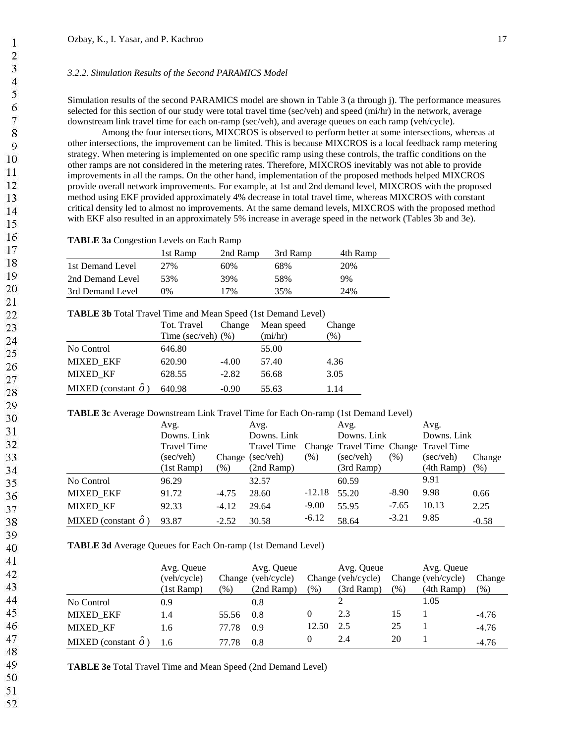## *3.2.2. Simulation Results of the Second PARAMICS Model*

Simulation results of the second PARAMICS model are shown in Table 3 (a through j). The performance measures selected for this section of our study were total travel time (sec/veh) and speed (mi/hr) in the network, average downstream link travel time for each on-ramp (sec/veh), and average queues on each ramp (veh/cycle).

Among the four intersections, MIXCROS is observed to perform better at some intersections, whereas at other intersections, the improvement can be limited. This is because MIXCROS is a local feedback ramp metering strategy. When metering is implemented on one specific ramp using these controls, the traffic conditions on the other ramps are not considered in the metering rates. Therefore, MIXCROS inevitably was not able to provide improvements in all the ramps. On the other hand, implementation of the proposed methods helped MIXCROS provide overall network improvements. For example, at 1st and 2nd demand level, MIXCROS with the proposed method using EKF provided approximately 4% decrease in total travel time, whereas MIXCROS with constant critical density led to almost no improvements. At the same demand levels, MIXCROS with the proposed method with EKF also resulted in an approximately 5% increase in average speed in the network (Tables 3b and 3e).

**TABLE 3a** Congestion Levels on Each Ramp

|                  | 1st Ramp | 2nd Ramp | 3rd Ramp | 4th Ramp |
|------------------|----------|----------|----------|----------|
| 1st Demand Level | 2.7%     | 60%      | 68%      | 20%      |
| 2nd Demand Level | 53%      | 39%      | 58%      | 9%       |
| 3rd Demand Level | በ%       | 17%      | 35%      | 24%      |

**TABLE 3b** Total Travel Time and Mean Speed (1st Demand Level)

|                             | Tot. Travel           | Change  | Mean speed | Change          |
|-----------------------------|-----------------------|---------|------------|-----------------|
|                             | Time (sec/veh) $(\%)$ |         | (mi/hr)    | $\mathcal{O}_0$ |
| No Control                  | 646.80                |         | 55.00      |                 |
| <b>MIXED EKF</b>            | 620.90                | $-4.00$ | 57.40      | 4.36            |
| <b>MIXED KF</b>             | 628.55                | $-2.82$ | 56.68      | 3.05            |
| MIXED (constant $\hat{o}$ ) | 640.98                | $-0.90$ | 55.63      | 1.14            |

**TABLE 3c** Average Downstream Link Travel Time for Each On-ramp (1st Demand Level)

|                             | Avg.               |         | Avg.                                              |          | Avg.               |         | Avg.               |         |
|-----------------------------|--------------------|---------|---------------------------------------------------|----------|--------------------|---------|--------------------|---------|
|                             | Downs. Link        |         | Downs. Link                                       |          | Downs. Link        |         | Downs. Link        |         |
|                             | <b>Travel Time</b> |         | Travel Time Change Travel Time Change Travel Time |          |                    |         |                    |         |
|                             | (sec/veh)          |         | Change (sec/veh)                                  | (% )     | $(\text{sec/veh})$ | (% )    | $(\text{sec/veh})$ | Change  |
|                             | (1st Ramp)         | (% )    | $(2nd$ Ramp)                                      |          | $(3rd$ Ramp)       |         | $(4th$ Ramp)       | (% )    |
| No Control                  | 96.29              |         | 32.57                                             |          | 60.59              |         | 9.91               |         |
| <b>MIXED EKF</b>            | 91.72              | $-4.75$ | 28.60                                             | $-12.18$ | 55.20              | $-8.90$ | 9.98               | 0.66    |
| <b>MIXED KF</b>             | 92.33              | $-4.12$ | 29.64                                             | $-9.00$  | 55.95              | $-7.65$ | 10.13              | 2.25    |
| MIXED (constant $\hat{o}$ ) | 93.87              | $-2.52$ | 30.58                                             | $-6.12$  | 58.64              | $-3.21$ | 9.85               | $-0.58$ |

**TABLE 3d** Average Queues for Each On-ramp (1st Demand Level)

|                             | Avg. Queue  |        | Avg. Queue         |       | Avg. Queue         |        | Avg. Queue         |         |
|-----------------------------|-------------|--------|--------------------|-------|--------------------|--------|--------------------|---------|
|                             | (veh/cycle) |        | Change (veh/cycle) |       | Change (veh/cycle) |        | Change (veh/cycle) | Change  |
|                             | (1st Ramp)  | $(\%)$ | (2nd Ramp)         | (96)  | (3rd Ramp)         | $(\%)$ | $(4th$ Ramp)       | $(\% )$ |
| No Control                  | 0.9         |        | 0.8                |       |                    |        | 1.05               |         |
| <b>MIXED EKF</b>            | 1.4         | 55.56  | 0.8                |       | 2.3                | 15     |                    | $-4.76$ |
| <b>MIXED KF</b>             | 1.6         | 77.78  | 0.9                | 12.50 | 2.5                | 25     |                    | $-4.76$ |
| MIXED (constant $\hat{o}$ ) | 1.6         | 77.78  | 0.8                |       | 2.4                | 20     |                    | $-4.76$ |

**TABLE 3e** Total Travel Time and Mean Speed (2nd Demand Level)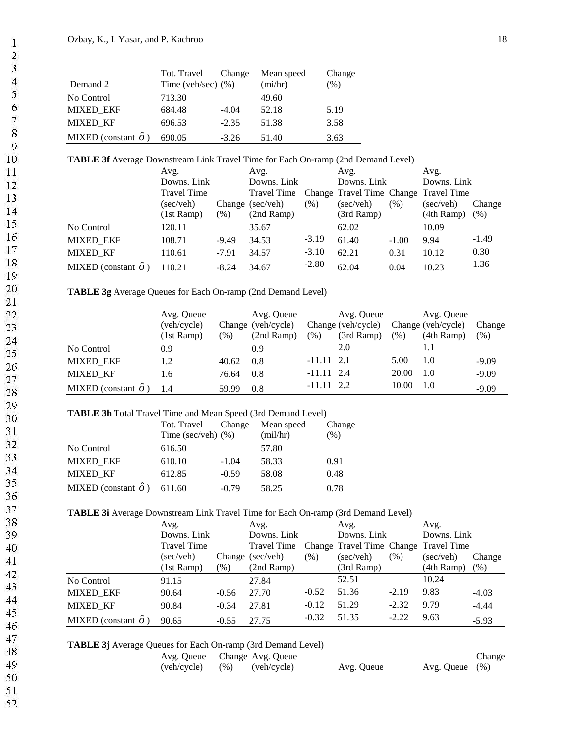|                             | Tot. Travel           | Change  | Mean speed | Change |
|-----------------------------|-----------------------|---------|------------|--------|
| Demand 2                    | Time (veh/sec) $(\%)$ |         | (mi/hr)    | $\%$ ) |
| No Control                  | 713.30                |         | 49.60      |        |
| <b>MIXED EKF</b>            | 684.48                | $-4.04$ | 52.18      | 5.19   |
| <b>MIXED KF</b>             | 696.53                | $-2.35$ | 51.38      | 3.58   |
| MIXED (constant $\hat{o}$ ) | 690.05                | $-3.26$ | 51.40      | 3.63   |

# **TABLE 3f** Average Downstream Link Travel Time for Each On-ramp (2nd Demand Level)

|                             | Avg.               |         | Avg.             |         | Avg.                                  |         | Avg.               |         |
|-----------------------------|--------------------|---------|------------------|---------|---------------------------------------|---------|--------------------|---------|
|                             | Downs. Link        |         | Downs. Link      |         | Downs. Link                           |         | Downs. Link        |         |
|                             | <b>Travel Time</b> |         | Travel Time      |         | Change Travel Time Change Travel Time |         |                    |         |
|                             | (sec/veh)          |         | Change (sec/veh) | (% )    | (sec/veh)                             | (% )    | $(\text{sec/veh})$ | Change  |
|                             | (1st Ramp)         | (%)     | $(2nd$ Ramp)     |         | $(3rd$ Ramp)                          |         | $(4th$ Ramp)       | (% )    |
| No Control                  | 120.11             |         | 35.67            |         | 62.02                                 |         | 10.09              |         |
| <b>MIXED EKF</b>            | 108.71             | $-9.49$ | 34.53            | $-3.19$ | 61.40                                 | $-1.00$ | 9.94               | $-1.49$ |
| <b>MIXED KF</b>             | 110.61             | $-7.91$ | 34.57            | $-3.10$ | 62.21                                 | 0.31    | 10.12              | 0.30    |
| MIXED (constant $\hat{o}$ ) | 110.21             | $-8.24$ | 34.67            | $-2.80$ | 62.04                                 | 0.04    | 10.23              | 1.36    |

**TABLE 3g** Average Queues for Each On-ramp (2nd Demand Level)

|                             | Avg. Queue  |               | Avg. Queue         |              | Avg. Queue         |        | Avg. Queue         |         |
|-----------------------------|-------------|---------------|--------------------|--------------|--------------------|--------|--------------------|---------|
|                             | (veh/cycle) |               | Change (veh/cycle) |              | Change (veh/cycle) |        | Change (veh/cycle) | Change  |
|                             | (1st Ramp)  | $\frac{9}{6}$ | $(2nd$ Ramp)       | (% )         | $(3rd$ Ramp)       | $(\%)$ | $(4th$ Ramp)       | (% )    |
| No Control                  | 0.9         |               | 0.9                |              | 2.0                |        | 1.1                |         |
| <b>MIXED EKF</b>            | 1.2         | 40.62         | 0.8                | $-11.11$ 2.1 |                    | 5.00   | 1.0                | $-9.09$ |
| <b>MIXED KF</b>             | 1.6         | 76.64         | 0.8                | $-11.11$ 2.4 |                    | 20.00  | 1.0                | $-9.09$ |
| MIXED (constant $\hat{o}$ ) | 1.4         | 59.99         | 0.8                | $-11.11$ 2.2 |                    | 10.00  | 1.0                | $-9.09$ |

## **TABLE 3h** Total Travel Time and Mean Speed (3rd Demand Level)

|                             | Tot. Travel           | Change  | Mean speed | Change          |
|-----------------------------|-----------------------|---------|------------|-----------------|
|                             | Time (sec/veh) $(\%)$ |         | (mil/hr)   | $\mathcal{O}_0$ |
| No Control                  | 616.50                |         | 57.80      |                 |
| <b>MIXED EKF</b>            | 610.10                | $-1.04$ | 58.33      | 0.91            |
| <b>MIXED KF</b>             | 612.85                | $-0.59$ | 58.08      | 0.48            |
| MIXED (constant $\hat{o}$ ) | 611.60                | $-0.79$ | 58.25      | 0.78            |

### **TABLE 3i** Average Downstream Link Travel Time for Each On-ramp (3rd Demand Level)

|                             | Avg.               |         | Avg.                                              |         | Avg.               |         | Avg.               |         |
|-----------------------------|--------------------|---------|---------------------------------------------------|---------|--------------------|---------|--------------------|---------|
|                             | Downs. Link        |         | Downs. Link                                       |         | Downs. Link        |         | Downs. Link        |         |
|                             | <b>Travel Time</b> |         | Travel Time Change Travel Time Change Travel Time |         |                    |         |                    |         |
|                             | (sec/veh)          |         | Change (sec/veh)                                  | (%)     | $(\text{sec/veh})$ | (%)     | $(\text{sec/veh})$ | Change  |
|                             | (1st Ramp)         | (% )    | (2nd Ramp)                                        |         | $(3rd$ Ramp)       |         | $(4th$ Ramp)       | (% )    |
| No Control                  | 91.15              |         | 27.84                                             |         | 52.51              |         | 10.24              |         |
| <b>MIXED EKF</b>            | 90.64              | $-0.56$ | 27.70                                             | $-0.52$ | 51.36              | $-2.19$ | 9.83               | $-4.03$ |
| <b>MIXED KF</b>             | 90.84              | $-0.34$ | 27.81                                             | $-0.12$ | 51.29              | $-2.32$ | 9.79               | $-4.44$ |
| MIXED (constant $\hat{o}$ ) | 90.65              | $-0.55$ | 27.75                                             | $-0.32$ | 51.35              | $-2.22$ | 9.63               | $-5.93$ |

# **TABLE 3j** Average Queues for Each On-ramp (3rd Demand Level)

| Avg. Queue Change Avg. Queue |      |             |            |                   | Change |
|------------------------------|------|-------------|------------|-------------------|--------|
| (veh/cycle)                  | (96) | (veh/cycle) | Avg. Queue | Avg. Oueue $(\%)$ |        |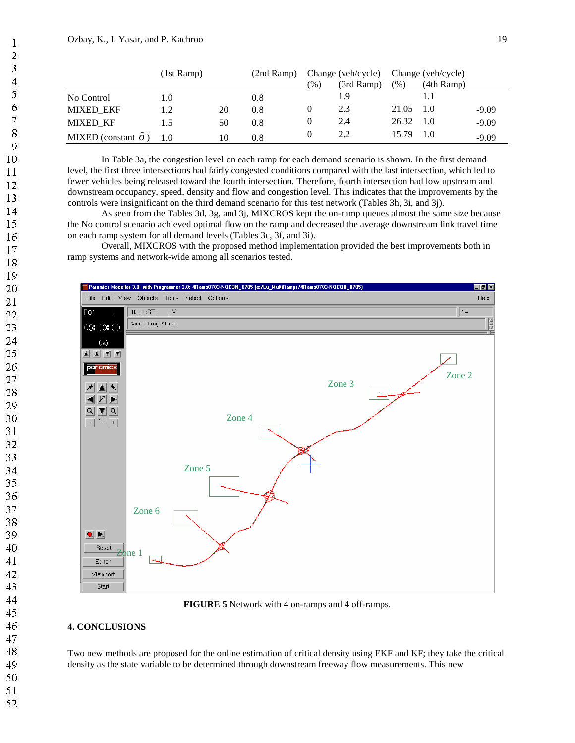|                             | (1st Ramp) |    | $(2nd$ Ramp) |               | Change (veh/cycle) |       | Change (veh/cycle) |         |
|-----------------------------|------------|----|--------------|---------------|--------------------|-------|--------------------|---------|
|                             |            |    |              | $\frac{9}{0}$ | (3rd Ramp)         | (%)   | $(4th$ Ramp)       |         |
| No Control                  | 1.0        |    | 0.8          |               | 1.9                |       |                    |         |
| <b>MIXED EKF</b>            |            | 20 | 0.8          |               | 2.3                | 21.05 | 1.0                | $-9.09$ |
| <b>MIXED KF</b>             |            | 50 | 0.8          |               | 2.4                | 26.32 | 1.0                | $-9.09$ |
| MIXED (constant $\hat{o}$ ) | 1.0        | 10 | 0.8          |               | 2.2                | 15.79 | 1.0                | $-9.09$ |

In Table 3a, the congestion level on each ramp for each demand scenario is shown. In the first demand level, the first three intersections had fairly congested conditions compared with the last intersection, which led to fewer vehicles being released toward the fourth intersection. Therefore, fourth intersection had low upstream and downstream occupancy, speed, density and flow and congestion level. This indicates that the improvements by the controls were insignificant on the third demand scenario for this test network (Tables 3h, 3i, and 3j).

As seen from the Tables 3d, 3g, and 3j, MIXCROS kept the on-ramp queues almost the same size because the No control scenario achieved optimal flow on the ramp and decreased the average downstream link travel time on each ramp system for all demand levels (Tables 3c, 3f, and 3i).

Overall, MIXCROS with the proposed method implementation provided the best improvements both in ramp systems and network-wide among all scenarios tested.



**FIGURE 5** Network with 4 on-ramps and 4 off-ramps.

### **4. CONCLUSIONS**

Two new methods are proposed for the online estimation of critical density using EKF and KF; they take the critical density as the state variable to be determined through downstream freeway flow measurements. This new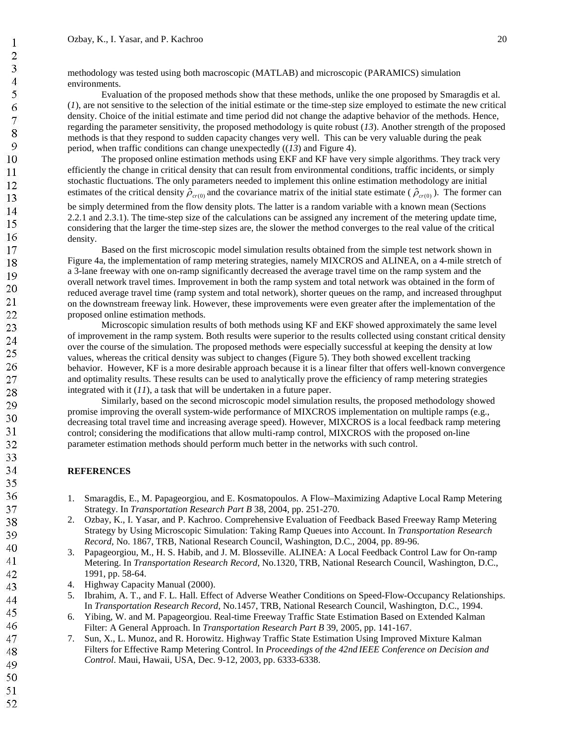methodology was tested using both macroscopic (MATLAB) and microscopic (PARAMICS) simulation environments.

Evaluation of the proposed methods show that these methods, unlike the one proposed by Smaragdis et al. (*1*), are not sensitive to the selection of the initial estimate or the time-step size employed to estimate the new critical density. Choice of the initial estimate and time period did not change the adaptive behavior of the methods. Hence, regarding the parameter sensitivity, the proposed methodology is quite robust (*13*). Another strength of the proposed methods is that they respond to sudden capacity changes very well. This can be very valuable during the peak period, when traffic conditions can change unexpectedly ((*13*) and Figure 4).

The proposed online estimation methods using EKF and KF have very simple algorithms. They track very efficiently the change in critical density that can result from environmental conditions, traffic incidents, or simply stochastic fluctuations. The only parameters needed to implement this online estimation methodology are initial estimates of the critical density  $\hat{\rho}_{cr(0)}$  and the covariance matrix of the initial state estimate ( $\hat{\rho}_{cr(0)}$ ). The former can

be simply determined from the flow density plots. The latter is a random variable with a known mean (Sections 2.2.1 and 2.3.1). The time-step size of the calculations can be assigned any increment of the metering update time, considering that the larger the time-step sizes are, the slower the method converges to the real value of the critical density.

Based on the first microscopic model simulation results obtained from the simple test network shown in Figure 4a, the implementation of ramp metering strategies, namely MIXCROS and ALINEA, on a 4-mile stretch of a 3-lane freeway with one on-ramp significantly decreased the average travel time on the ramp system and the overall network travel times. Improvement in both the ramp system and total network was obtained in the form of reduced average travel time (ramp system and total network), shorter queues on the ramp, and increased throughput on the downstream freeway link. However, these improvements were even greater after the implementation of the proposed online estimation methods.

Microscopic simulation results of both methods using KF and EKF showed approximately the same level of improvement in the ramp system. Both results were superior to the results collected using constant critical density over the course of the simulation. The proposed methods were especially successful at keeping the density at low values, whereas the critical density was subject to changes (Figure 5). They both showed excellent tracking behavior. However, KF is a more desirable approach because it is a linear filter that offers well-known convergence and optimality results. These results can be used to analytically prove the efficiency of ramp metering strategies integrated with it (*11*), a task that will be undertaken in a future paper.

Similarly, based on the second microscopic model simulation results, the proposed methodology showed promise improving the overall system-wide performance of MIXCROS implementation on multiple ramps (e.g., decreasing total travel time and increasing average speed). However, MIXCROS is a local feedback ramp metering control; considering the modifications that allow multi-ramp control, MIXCROS with the proposed on-line parameter estimation methods should perform much better in the networks with such control.

#### **REFERENCES**

- 1. Smaragdis, E., M. Papageorgiou, and E. Kosmatopoulos. A Flow–Maximizing Adaptive Local Ramp Metering Strategy. In *Transportation Research Part B* 38, 2004, pp. 251-270.
- 2. Ozbay, K., I. Yasar, and P. Kachroo. Comprehensive Evaluation of Feedback Based Freeway Ramp Metering Strategy by Using Microscopic Simulation: Taking Ramp Queues into Account. In *Transportation Research Record*, No. 1867, TRB, National Research Council, Washington, D.C., 2004, pp. 89-96.
- 3. Papageorgiou, M., H. S. Habib, and J. M. Blosseville. ALINEA: A Local Feedback Control Law for On-ramp Metering. In *Transportation Research Record*, No.1320, TRB, National Research Council, Washington, D.C., 1991, pp. 58-64.
- 4. Highway Capacity Manual (2000).
- 5. Ibrahim, A. T., and F. L. Hall. Effect of Adverse Weather Conditions on Speed-Flow-Occupancy Relationships. In *Transportation Research Record*, No.1457, TRB, National Research Council, Washington, D.C., 1994.
- 6. Yibing, W. and M. Papageorgiou. Real-time Freeway Traffic State Estimation Based on Extended Kalman Filter: A General Approach. In *Transportation Research Part B* 39, 2005, pp. 141-167.
- 7. Sun, X., L. Munoz, and R. Horowitz. Highway Traffic State Estimation Using Improved Mixture Kalman Filters for Effective Ramp Metering Control. In *Proceedings of the 42nd IEEE Conference on Decision and Control*. Maui, Hawaii, USA, Dec. 9-12, 2003, pp. 6333-6338.

 $\mathbf{1}$  $\overline{2}$ 3